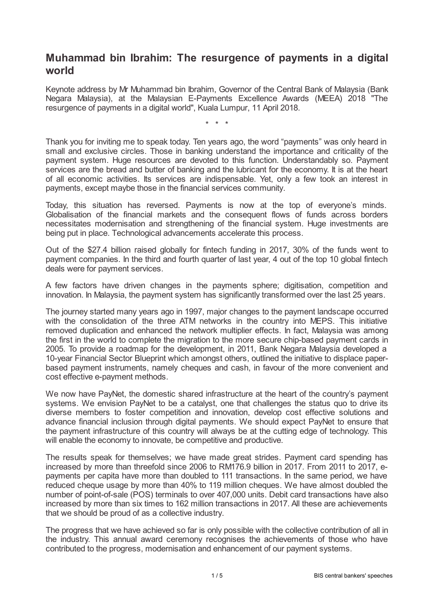# **Muhammad bin Ibrahim: The resurgence of payments in a digital world**

Keynote address by Mr Muhammad bin Ibrahim, Governor of the Central Bank of Malaysia (Bank Negara Malaysia), at the Malaysian E-Payments Excellence Awards (MEEA) 2018 "The resurgence of payments in a digital world", Kuala Lumpur, 11 April 2018.

\* \* \*

Thank you for inviting me to speak today. Ten years ago, the word "payments" was only heard in small and exclusive circles. Those in banking understand the importance and criticality of the payment system. Huge resources are devoted to this function. Understandably so. Payment services are the bread and butter of banking and the lubricant for the economy. It is at the heart of all economic activities. Its services are indispensable. Yet, only a few took an interest in payments, except maybe those in the financial services community.

Today, this situation has reversed. Payments is now at the top of everyone's minds. Globalisation of the financial markets and the consequent flows of funds across borders necessitates modernisation and strengthening of the financial system. Huge investments are being put in place. Technological advancements accelerate this process.

Out of the \$27.4 billion raised globally for fintech funding in 2017, 30% of the funds went to payment companies. In the third and fourth quarter of last year, 4 out of the top 10 global fintech deals were for payment services.

A few factors have driven changes in the payments sphere; digitisation, competition and innovation. In Malaysia, the payment system has significantly transformed over the last 25 years.

The journey started many years ago in 1997, major changes to the payment landscape occurred with the consolidation of the three ATM networks in the country into MEPS. This initiative removed duplication and enhanced the network multiplier effects. In fact, Malaysia was among the first in the world to complete the migration to the more secure chip-based payment cards in 2005. To provide a roadmap for the development, in 2011, Bank Negara Malaysia developed a 10-year Financial Sector Blueprint which amongst others, outlined the initiative to displace paperbased payment instruments, namely cheques and cash, in favour of the more convenient and cost effective e-payment methods.

We now have PayNet, the domestic shared infrastructure at the heart of the country's payment systems. We envision PayNet to be a catalyst, one that challenges the status quo to drive its diverse members to foster competition and innovation, develop cost effective solutions and advance financial inclusion through digital payments. We should expect PayNet to ensure that the payment infrastructure of this country will always be at the cutting edge of technology. This will enable the economy to innovate, be competitive and productive.

The results speak for themselves; we have made great strides. Payment card spending has increased by more than threefold since 2006 to RM176.9 billion in 2017. From 2011 to 2017, epayments per capita have more than doubled to 111 transactions. In the same period, we have reduced cheque usage by more than 40% to 119 million cheques. We have almost doubled the number of point-of-sale (POS) terminals to over 407,000 units. Debit card transactions have also increased by more than six times to 162 million transactions in 2017. All these are achievements that we should be proud of as a collective industry.

The progress that we have achieved so far is only possible with the collective contribution of all in the industry. This annual award ceremony recognises the achievements of those who have contributed to the progress, modernisation and enhancement of our payment systems.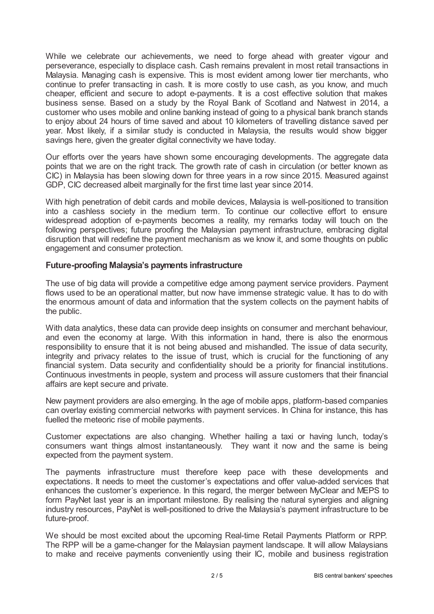While we celebrate our achievements, we need to forge ahead with greater vigour and perseverance, especially to displace cash. Cash remains prevalent in most retail transactions in Malaysia. Managing cash is expensive. This is most evident among lower tier merchants, who continue to prefer transacting in cash. It is more costly to use cash, as you know, and much cheaper, efficient and secure to adopt e-payments. It is a cost effective solution that makes business sense. Based on a study by the Royal Bank of Scotland and Natwest in 2014, a customer who uses mobile and online banking instead of going to a physical bank branch stands to enjoy about 24 hours of time saved and about 10 kilometers of travelling distance saved per year. Most likely, if a similar study is conducted in Malaysia, the results would show bigger savings here, given the greater digital connectivity we have today.

Our efforts over the years have shown some encouraging developments. The aggregate data points that we are on the right track. The growth rate of cash in circulation (or better known as CIC) in Malaysia has been slowing down for three years in a row since 2015. Measured against GDP, CIC decreased albeit marginally for the first time last year since 2014.

With high penetration of debit cards and mobile devices, Malaysia is well-positioned to transition into a cashless society in the medium term. To continue our collective effort to ensure widespread adoption of e-payments becomes a reality, my remarks today will touch on the following perspectives; future proofing the Malaysian payment infrastructure, embracing digital disruption that will redefine the payment mechanism as we know it, and some thoughts on public engagement and consumer protection.

## **Future-proofing Malaysia's payments infrastructure**

The use of big data will provide a competitive edge among payment service providers. Payment flows used to be an operational matter, but now have immense strategic value. It has to do with the enormous amount of data and information that the system collects on the payment habits of the public.

With data analytics, these data can provide deep insights on consumer and merchant behaviour, and even the economy at large. With this information in hand, there is also the enormous responsibility to ensure that it is not being abused and mishandled. The issue of data security, integrity and privacy relates to the issue of trust, which is crucial for the functioning of any financial system. Data security and confidentiality should be a priority for financial institutions. Continuous investments in people, system and process will assure customers that their financial affairs are kept secure and private.

New payment providers are also emerging. In the age of mobile apps, platform-based companies can overlay existing commercial networks with payment services. In China for instance, this has fuelled the meteoric rise of mobile payments.

Customer expectations are also changing. Whether hailing a taxi or having lunch, today's consumers want things almost instantaneously. They want it now and the same is being expected from the payment system.

The payments infrastructure must therefore keep pace with these developments and expectations. It needs to meet the customer's expectations and offer value-added services that enhances the customer's experience. In this regard, the merger between MyClear and MEPS to form PayNet last year is an important milestone. By realising the natural synergies and aligning industry resources, PayNet is well-positioned to drive the Malaysia's payment infrastructure to be future-proof.

We should be most excited about the upcoming Real-time Retail Payments Platform or RPP. The RPP will be a game-changer for the Malaysian payment landscape. It will allow Malaysians to make and receive payments conveniently using their IC, mobile and business registration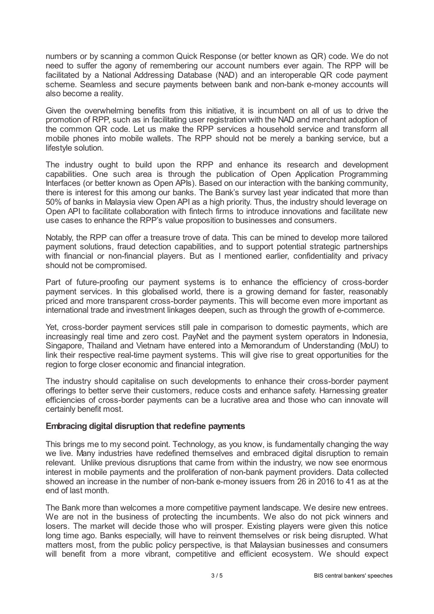numbers or by scanning a common Quick Response (or better known as QR) code. We do not need to suffer the agony of remembering our account numbers ever again. The RPP will be facilitated by a National Addressing Database (NAD) and an interoperable QR code payment scheme. Seamless and secure payments between bank and non-bank e-money accounts will also become a reality.

Given the overwhelming benefits from this initiative, it is incumbent on all of us to drive the promotion of RPP, such as in facilitating user registration with the NAD and merchant adoption of the common QR code. Let us make the RPP services a household service and transform all mobile phones into mobile wallets. The RPP should not be merely a banking service, but a lifestyle solution.

The industry ought to build upon the RPP and enhance its research and development capabilities. One such area is through the publication of Open Application Programming Interfaces (or better known as Open APIs). Based on our interaction with the banking community, there is interest for this among our banks. The Bank's survey last year indicated that more than 50% of banks in Malaysia view Open API as a high priority. Thus, the industry should leverage on Open API to facilitate collaboration with fintech firms to introduce innovations and facilitate new use cases to enhance the RPP's value proposition to businesses and consumers.

Notably, the RPP can offer a treasure trove of data. This can be mined to develop more tailored payment solutions, fraud detection capabilities, and to support potential strategic partnerships with financial or non-financial players. But as I mentioned earlier, confidentiality and privacy should not be compromised.

Part of future-proofing our payment systems is to enhance the efficiency of cross-border payment services. In this globalised world, there is a growing demand for faster, reasonably priced and more transparent cross-border payments. This will become even more important as international trade and investment linkages deepen, such as through the growth of e-commerce.

Yet, cross-border payment services still pale in comparison to domestic payments, which are increasingly real time and zero cost. PayNet and the payment system operators in Indonesia, Singapore, Thailand and Vietnam have entered into a Memorandum of Understanding (MoU) to link their respective real-time payment systems. This will give rise to great opportunities for the region to forge closer economic and financial integration.

The industry should capitalise on such developments to enhance their cross-border payment offerings to better serve their customers, reduce costs and enhance safety. Harnessing greater efficiencies of cross-border payments can be a lucrative area and those who can innovate will certainly benefit most.

### **Embracing digital disruption that redefine payments**

This brings me to my second point. Technology, as you know, is fundamentally changing the way we live. Many industries have redefined themselves and embraced digital disruption to remain relevant. Unlike previous disruptions that came from within the industry, we now see enormous interest in mobile payments and the proliferation of non-bank payment providers. Data collected showed an increase in the number of non-bank e-money issuers from 26 in 2016 to 41 as at the end of last month.

The Bank more than welcomes a more competitive payment landscape. We desire new entrees. We are not in the business of protecting the incumbents. We also do not pick winners and losers. The market will decide those who will prosper. Existing players were given this notice long time ago. Banks especially, will have to reinvent themselves or risk being disrupted. What matters most, from the public policy perspective, is that Malaysian businesses and consumers will benefit from a more vibrant, competitive and efficient ecosystem. We should expect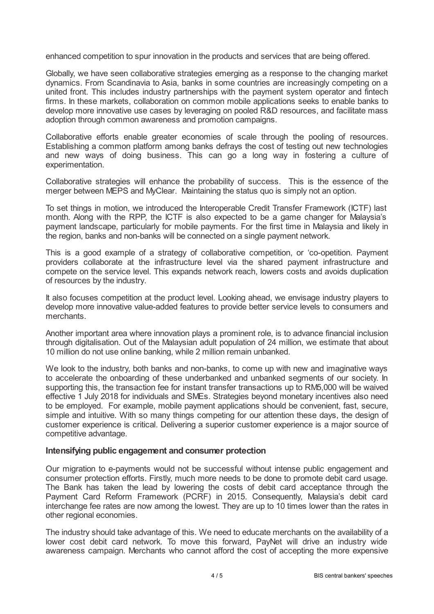enhanced competition to spur innovation in the products and services that are being offered.

Globally, we have seen collaborative strategies emerging as a response to the changing market dynamics. From Scandinavia to Asia, banks in some countries are increasingly competing on a united front. This includes industry partnerships with the payment system operator and fintech firms. In these markets, collaboration on common mobile applications seeks to enable banks to develop more innovative use cases by leveraging on pooled R&D resources, and facilitate mass adoption through common awareness and promotion campaigns.

Collaborative efforts enable greater economies of scale through the pooling of resources. Establishing a common platform among banks defrays the cost of testing out new technologies and new ways of doing business. This can go a long way in fostering a culture of experimentation.

Collaborative strategies will enhance the probability of success. This is the essence of the merger between MEPS and MyClear. Maintaining the status quo is simply not an option.

To set things in motion, we introduced the Interoperable Credit Transfer Framework (ICTF) last month. Along with the RPP, the ICTF is also expected to be a game changer for Malaysia's payment landscape, particularly for mobile payments. For the first time in Malaysia and likely in the region, banks and non-banks will be connected on a single payment network.

This is a good example of a strategy of collaborative competition, or 'co-opetition. Payment providers collaborate at the infrastructure level via the shared payment infrastructure and compete on the service level. This expands network reach, lowers costs and avoids duplication of resources by the industry.

It also focuses competition at the product level. Looking ahead, we envisage industry players to develop more innovative value-added features to provide better service levels to consumers and merchants.

Another important area where innovation plays a prominent role, is to advance financial inclusion through digitalisation. Out of the Malaysian adult population of 24 million, we estimate that about 10 million do not use online banking, while 2 million remain unbanked.

We look to the industry, both banks and non-banks, to come up with new and imaginative ways to accelerate the onboarding of these underbanked and unbanked segments of our society. In supporting this, the transaction fee for instant transfer transactions up to RM5,000 will be waived effective 1 July 2018 for individuals and SMEs. Strategies beyond monetary incentives also need to be employed. For example, mobile payment applications should be convenient, fast, secure, simple and intuitive. With so many things competing for our attention these days, the design of customer experience is critical. Delivering a superior customer experience is a major source of competitive advantage.

### **Intensifying public engagement and consumer protection**

Our migration to e-payments would not be successful without intense public engagement and consumer protection efforts. Firstly, much more needs to be done to promote debit card usage. The Bank has taken the lead by lowering the costs of debit card acceptance through the Payment Card Reform Framework (PCRF) in 2015. Consequently, Malaysia's debit card interchange fee rates are now among the lowest. They are up to 10 times lower than the rates in other regional economies.

The industry should take advantage of this. We need to educate merchants on the availability of a lower cost debit card network. To move this forward, PayNet will drive an industry wide awareness campaign. Merchants who cannot afford the cost of accepting the more expensive